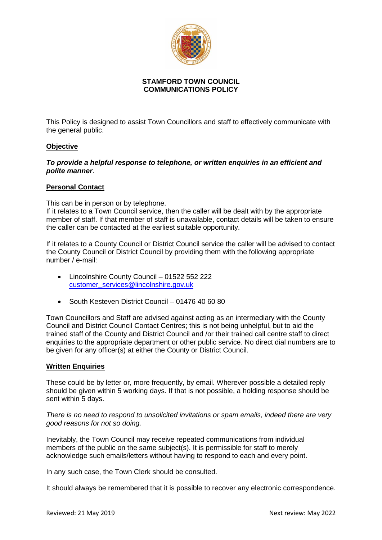

## **STAMFORD TOWN COUNCIL COMMUNICATIONS POLICY**

This Policy is designed to assist Town Councillors and staff to effectively communicate with the general public.

## **Objective**

*To provide a helpful response to telephone, or written enquiries in an efficient and polite manner*.

### **Personal Contact**

This can be in person or by telephone.

If it relates to a Town Council service, then the caller will be dealt with by the appropriate member of staff. If that member of staff is unavailable, contact details will be taken to ensure the caller can be contacted at the earliest suitable opportunity.

If it relates to a County Council or District Council service the caller will be advised to contact the County Council or District Council by providing them with the following appropriate number / e-mail:

- Lincolnshire County Council 01522 552 222 customer**\_**[services@lincolnshire.gov.uk](mailto:customer_services@lincolnshire.gov.uk)
- South Kesteven District Council 01476 40 60 80

Town Councillors and Staff are advised against acting as an intermediary with the County Council and District Council Contact Centres; this is not being unhelpful, but to aid the trained staff of the County and District Council and /or their trained call centre staff to direct enquiries to the appropriate department or other public service. No direct dial numbers are to be given for any officer(s) at either the County or District Council.

### **Written Enquiries**

These could be by letter or, more frequently, by email. Wherever possible a detailed reply should be given within 5 working days. If that is not possible, a holding response should be sent within 5 days.

*There is no need to respond to unsolicited invitations or spam emails, indeed there are very good reasons for not so doing.* 

Inevitably, the Town Council may receive repeated communications from individual members of the public on the same subject(s). It is permissible for staff to merely acknowledge such emails/letters without having to respond to each and every point.

In any such case, the Town Clerk should be consulted.

It should always be remembered that it is possible to recover any electronic correspondence.